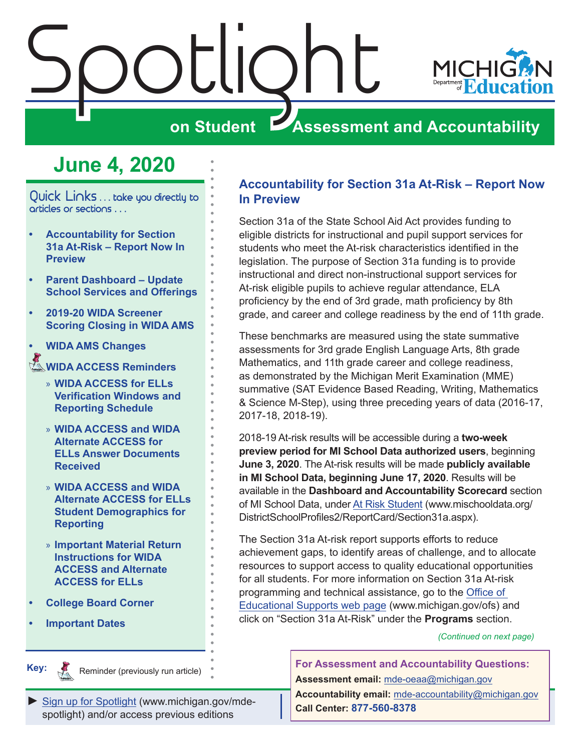<span id="page-0-0"></span>

## **June 4, 2020**

Quick Links . . . take you directly to articles or sections . . .

- **• Accountability for Section 31a At-Risk – Report Now In Preview**
- **• [Parent Dashboard Update](#page-1-0)  [School Services and Offerings](#page-1-0)**
- **• [2019-20 WIDA Screener](#page-2-0)  [Scoring Closing in WIDA AMS](#page-2-0)**
- **• [WIDA AMS Changes](#page-2-0)**

#### Reminders **[WIDA ACCESS Reminders](#page-2-0)**

- » **[WIDA ACCESS for ELLs](#page-2-0)  [Verification Windows and](#page-2-0)  [Reporting Schedule](#page-2-0)**
- » **[WIDA ACCESS and WIDA](#page-3-0)  [Alternate ACCESS for](#page-3-0)  [ELLs Answer Documents](#page-3-0)  [Received](#page-3-0)**
- » **[WIDA ACCESS and WIDA](#page-3-0)  [Alternate ACCESS for ELLs](#page-3-0)  [Student Demographics for](#page-3-0)  [Reporting](#page-3-0)**
- » **[Important Material Return](#page-4-0)  [Instructions for WIDA](#page-4-0)  [ACCESS and Alternate](#page-4-0)  [ACCESS for ELLs](#page-4-0)**
- **• [College Board Corner](#page-7-0)**
- **• [Important Dates](#page-8-0)**

**Remindere** 

#### **Accountability for Section 31a At-Risk – Report Now In Preview**

Section 31a of the State School Aid Act provides funding to eligible districts for instructional and pupil support services for students who meet the At-risk characteristics identified in the legislation. The purpose of Section 31a funding is to provide instructional and direct non-instructional support services for At-risk eligible pupils to achieve regular attendance, ELA proficiency by the end of 3rd grade, math proficiency by 8th grade, and career and college readiness by the end of 11th grade.

These benchmarks are measured using the state summative assessments for 3rd grade English Language Arts, 8th grade Mathematics, and 11th grade career and college readiness, as demonstrated by the Michigan Merit Examination (MME) summative (SAT Evidence Based Reading, Writing, Mathematics & Science M-Step), using three preceding years of data (2016-17, 2017-18, 2018-19).

2018-19 At-risk results will be accessible during a **two-week preview period for MI School Data authorized users**, beginning **June 3, 2020**. The At-risk results will be made **publicly available in MI School Data, beginning June 17, 2020**. Results will be available in the **Dashboard and Accountability Scorecard** section of MI School Data, under [At Risk Student](http://www.mischooldata.org/DistrictSchoolProfiles2/ReportCard/Section31a.aspx) (www.mischooldata.org/ DistrictSchoolProfiles2/ReportCard/Section31a.aspx).

The Section 31a At-risk report supports efforts to reduce achievement gaps, to identify areas of challenge, and to allocate resources to support access to quality educational opportunities for all students. For more information on Section 31a At-risk programming and technical assistance, go to the [Office of](http://www.michigan.gov/ofs)  [Educational Supports web page](http://www.michigan.gov/ofs) (www.michigan.gov/ofs) and click on "Section 31a At-Risk" under the **Programs** section.

*(Continued on next page)*

**Key:**

Reminder (previously run article)

*►* [Sign up for Spotlight](https://public.govdelivery.com/accounts/MIMDE/subscriber/new) [\(www.michigan.gov/mde](www.michigan.gov/mde-spotlight)spotlight) and/or access previous editions

**For Assessment and Accountability Questions: Assessment email:** mde-oeaa[@michigan.gov](mailto:mde-oeaa%40michigan.gov?subject=assessment%20question) **Accountability email:** mde[-accountability@michigan.gov](mailto:MDE-Accountability%40michigan.gov?subject=Accountability%20question) **Call Center: 877-560-8378**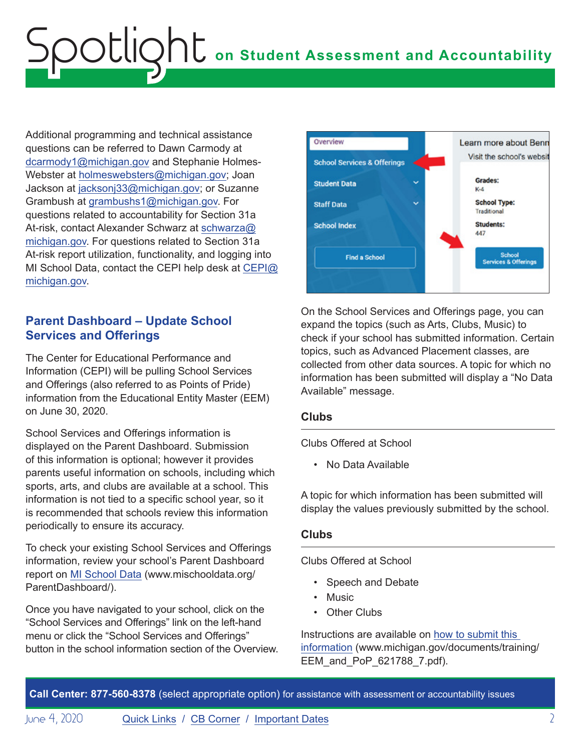<span id="page-1-0"></span>Additional programming and technical assistance questions can be referred to Dawn Carmody at [dcarmody1@michigan.gov](mailto:dcarmody1%40michigan.gov?subject=) and Stephanie Holmes-Webster at [holmeswebsters@michigan.gov](mailto:holmeswebsters%40michigan.gov?subject=); Joan Jackson at [jacksonj33@michigan.gov;](mailto:jacksonj33%40michigan.gov%2C?subject=) or Suzanne Grambush at [grambushs1@michigan.gov](mailto:grambushs1%40michigan.gov?subject=). For questions related to accountability for Section 31a At-risk, contact Alexander Schwarz at [schwarza@](mailto:schwarza%40michigan.gov?subject=) [michigan.gov.](mailto:schwarza%40michigan.gov?subject=) For questions related to Section 31a At-risk report utilization, functionality, and logging into MI School Data, contact the CEPI help desk at [CEPI@](mailto:CEPI%40michigan.gov?subject=) [michigan.gov.](mailto:CEPI%40michigan.gov?subject=)

#### **Parent Dashboard – Update School Services and Offerings**

The Center for Educational Performance and Information (CEPI) will be pulling School Services and Offerings (also referred to as Points of Pride) information from the Educational Entity Master (EEM) on June 30, 2020.

School Services and Offerings information is displayed on the Parent Dashboard. Submission of this information is optional; however it provides parents useful information on schools, including which sports, arts, and clubs are available at a school. This information is not tied to a specific school year, so it is recommended that schools review this information periodically to ensure its accuracy.

To check your existing School Services and Offerings information, review your school's Parent Dashboard report on [MI School Data](http://www.mischooldata.org/ParentDashboard/) (www.mischooldata.org/ ParentDashboard/).

Once you have navigated to your school, click on the "School Services and Offerings" link on the left-hand menu or click the "School Services and Offerings" button in the school information section of the Overview.



On the School Services and Offerings page, you can expand the topics (such as Arts, Clubs, Music) to check if your school has submitted information. Certain topics, such as Advanced Placement classes, are collected from other data sources. A topic for which no information has been submitted will display a "No Data Available" message.

#### **Clubs**

Clubs Offered at School

• No Data Available

A topic for which information has been submitted will display the values previously submitted by the school.

#### **Clubs**

Clubs Offered at School

- Speech and Debate
- Music
- Other Clubs

Instructions are available on [how to submit this](https://www.michigan.gov/documents/training/EEM_and_PoP_621788_7.pdf)  [information](https://www.michigan.gov/documents/training/EEM_and_PoP_621788_7.pdf) (www.michigan.gov/documents/training/ EEM\_and\_PoP\_621788\_7.pdf).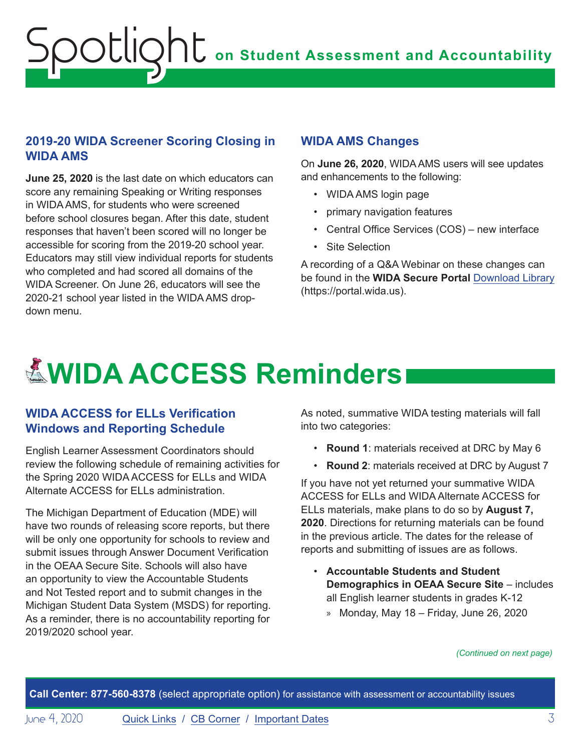#### <span id="page-2-0"></span>**2019-20 WIDA Screener Scoring Closing in WIDA AMS**

**June 25, 2020** is the last date on which educators can score any remaining Speaking or Writing responses in WIDA AMS, for students who were screened before school closures began. After this date, student responses that haven't been scored will no longer be accessible for scoring from the 2019-20 school year. Educators may still view individual reports for students who completed and had scored all domains of the WIDA Screener. On June 26, educators will see the 2020-21 school year listed in the WIDA AMS dropdown menu.

#### **WIDA AMS Changes**

On **June 26, 2020**, WIDA AMS users will see updates and enhancements to the following:

- WIDA AMS login page
- primary navigation features
- Central Office Services (COS) new interface
- Site Selection

A recording of a Q&A Webinar on these changes can be found in the **WIDA Secure Portal** [Download Library](https://gcc01.safelinks.protection.outlook.com/?url=https%3A%2F%2Fportal.wida.us%2Fclient%2FDownloadLibrary.aspx%3Futm_source%3DCR-WW052720%26utm_medium%3Demail%26utm_campaign%3DWIDAWednesday%26utm_content%3Dtext-Download-Library&data=02%7C01%7Cpaulj%40michigan.gov%7C63c535e71f784722f13c08d80262f59b%7Cd5fb7087377742ad966a892ef47225d1%7C0%7C0%7C637261971333052395&sdata=CSJ6s3JmU9IiGQ40VBUrd4%2BFoVxBCZbX4g6ZlkVvgbA%3D&reserved=0) (https://portal.wida.us).

# **EWIDA ACCESS Reminders**

#### **WIDA ACCESS for ELLs Verification Windows and Reporting Schedule**

English Learner Assessment Coordinators should review the following schedule of remaining activities for the Spring 2020 WIDA ACCESS for ELLs and WIDA Alternate ACCESS for ELLs administration.

The Michigan Department of Education (MDE) will have two rounds of releasing score reports, but there will be only one opportunity for schools to review and submit issues through Answer Document Verification in the OEAA Secure Site. Schools will also have an opportunity to view the Accountable Students and Not Tested report and to submit changes in the Michigan Student Data System (MSDS) for reporting. As a reminder, there is no accountability reporting for 2019/2020 school year.

As noted, summative WIDA testing materials will fall into two categories:

- **Round 1**: materials received at DRC by May 6
- **Round 2**: materials received at DRC by August 7

If you have not yet returned your summative WIDA ACCESS for ELLs and WIDA Alternate ACCESS for ELLs materials, make plans to do so by **August 7, 2020**. Directions for returning materials can be found in the previous article. The dates for the release of reports and submitting of issues are as follows.

- **Accountable Students and Student Demographics in OEAA Secure Site** – includes all English learner students in grades K-12
	- » Monday, May 18 Friday, June 26, 2020

*(Continued on next page)*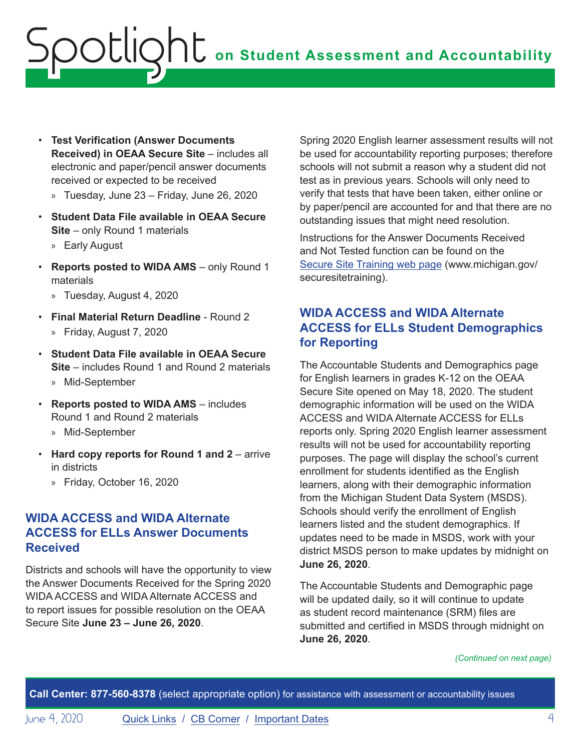- <span id="page-3-0"></span>• **Test Verification (Answer Documents Received) in OEAA Secure Site** – includes all electronic and paper/pencil answer documents received or expected to be received
	- » Tuesday, June 23 Friday, June 26, 2020
- **Student Data File available in OEAA Secure Site** – only Round 1 materials
	- » Early August
- **Reports posted to WIDA AMS** only Round 1 materials
	- » Tuesday, August 4, 2020
- **Final Material Return Deadline** Round 2 » Friday, August 7, 2020
- **Student Data File available in OEAA Secure Site** – includes Round 1 and Round 2 materials » Mid-September
- **Reports posted to WIDA AMS** includes Round 1 and Round 2 materials
	- » Mid-September
- **Hard copy reports for Round 1 and 2** arrive in districts
	- » Friday, October 16, 2020

#### **WIDA ACCESS and WIDA Alternate ACCESS for ELLs Answer Documents Received**

Districts and schools will have the opportunity to view the Answer Documents Received for the Spring 2020 WIDA ACCESS and WIDA Alternate ACCESS and to report issues for possible resolution on the OEAA Secure Site **June 23 – June 26, 2020**.

Spring 2020 English learner assessment results will not be used for accountability reporting purposes; therefore schools will not submit a reason why a student did not test as in previous years. Schools will only need to verify that tests that have been taken, either online or by paper/pencil are accounted for and that there are no outstanding issues that might need resolution.

Instructions for the Answer Documents Received and Not Tested function can be found on the Secure Site Training web page (www.michigan.gov/ securesitetraining).

#### **WIDA ACCESS and WIDA Alternate ACCESS for ELLs Student Demographics for Reporting**

The Accountable Students and Demographics page for English learners in grades K-12 on the OEAA Secure Site opened on May 18, 2020. The student demographic information will be used on the WIDA ACCESS and WIDA Alternate ACCESS for ELLs reports only. Spring 2020 English learner assessment results will not be used for accountability reporting purposes. The page will display the school's current enrollment for students identified as the English learners, along with their demographic information from the Michigan Student Data System (MSDS). Schools should verify the enrollment of English learners listed and the student demographics. If updates need to be made in MSDS, work with your district MSDS person to make updates by midnight on **June 26, 2020**.

The Accountable Students and Demographic page will be updated daily, so it will continue to update as student record maintenance (SRM) files are submitted and certified in MSDS through midnight on **June 26, 2020**.

*(Continued on next page)*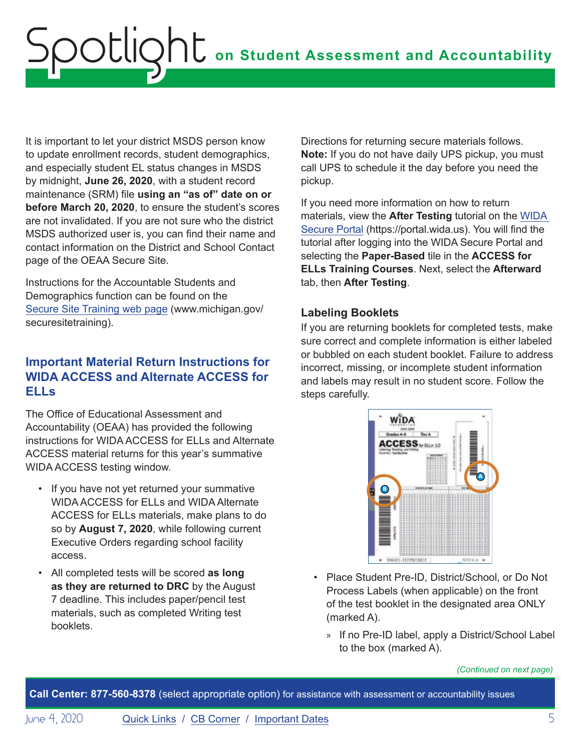<span id="page-4-0"></span>It is important to let your district MSDS person know to update enrollment records, student demographics, and especially student EL status changes in MSDS by midnight, **June 26, 2020**, with a student record maintenance (SRM) file **using an "as of" date on or before March 20, 2020**, to ensure the student's scores are not invalidated. If you are not sure who the district MSDS authorized user is, you can find their name and contact information on the District and School Contact page of the OEAA Secure Site.

Instructions for the Accountable Students and Demographics function can be found on the Secure Site Training web page (www.michigan.gov/ securesitetraining).

#### **Important Material Return Instructions for WIDA ACCESS and Alternate ACCESS for ELLs**

The Office of Educational Assessment and Accountability (OEAA) has provided the following instructions for WIDA ACCESS for ELLs and Alternate ACCESS material returns for this year's summative WIDA ACCESS testing window.

- If you have not yet returned your summative WIDA ACCESS for ELLs and WIDA Alternate ACCESS for ELLs materials, make plans to do so by **August 7, 2020**, while following current Executive Orders regarding school facility access.
- All completed tests will be scored **as long as they are returned to DRC** by the August 7 deadline. This includes paper/pencil test materials, such as completed Writing test booklets.

Directions for returning secure materials follows. **Note:** If you do not have daily UPS pickup, you must call UPS to schedule it the day before you need the pickup.

If you need more information on how to return materials, view the **After Testing** tutorial on the [WIDA](https://gcc01.safelinks.protection.outlook.com/?url=https%3A%2F%2Furldefense.proofpoint.com%2Fv2%2Furl%3Fu%3Dhttp-3A__s2720.t.en25.com_e_er-3Futm-5Fcampaign-3DMI09-26utm-5Fmedium-3Demail-26utm-5Fsource-3DEloqua-26s-3D2720-26lid-3D1445-26elqTrackId-3D1633C6280A3A8E348112D0BD1D0D7F67-26elq-3D6b36735f344f421a9a1bb48cae58a419-26elqaid-3D6405-26elqat-3D1%26d%3DDwMCaQ%26c%3D8zrWcxohc8EScTghaWfhULjPi_iW3pFnOBrhZAw_16M%26r%3DCMUvUOkR5Mt-691GvZKrhlhKVvOmCMJvIOm4ZoheWRIY9DlWCbCvAhxkRlNk7Kmx%26m%3DLK59sq64fRrYmnw67QzESya61xBETXtW8Qr3A67iTj8%26s%3DiY4l7TlMXKNZz9Zf8C7kMTO9M_pOWnuhobAPZCUDV2I%26e%3D&data=02%7C01%7Cpaulj%40michigan.gov%7C61a63dffa56a46df448e08d7beed86b4%7Cd5fb7087377742ad966a892ef47225d1%7C0%7C0%7C637187799691750942&sdata=eoYj7oj68pAlw63Cmoy87QHhNSJGac8sHmTiMk3BlD0%3D&reserved=0)  [Secure Portal](https://gcc01.safelinks.protection.outlook.com/?url=https%3A%2F%2Furldefense.proofpoint.com%2Fv2%2Furl%3Fu%3Dhttp-3A__s2720.t.en25.com_e_er-3Futm-5Fcampaign-3DMI09-26utm-5Fmedium-3Demail-26utm-5Fsource-3DEloqua-26s-3D2720-26lid-3D1445-26elqTrackId-3D1633C6280A3A8E348112D0BD1D0D7F67-26elq-3D6b36735f344f421a9a1bb48cae58a419-26elqaid-3D6405-26elqat-3D1%26d%3DDwMCaQ%26c%3D8zrWcxohc8EScTghaWfhULjPi_iW3pFnOBrhZAw_16M%26r%3DCMUvUOkR5Mt-691GvZKrhlhKVvOmCMJvIOm4ZoheWRIY9DlWCbCvAhxkRlNk7Kmx%26m%3DLK59sq64fRrYmnw67QzESya61xBETXtW8Qr3A67iTj8%26s%3DiY4l7TlMXKNZz9Zf8C7kMTO9M_pOWnuhobAPZCUDV2I%26e%3D&data=02%7C01%7Cpaulj%40michigan.gov%7C61a63dffa56a46df448e08d7beed86b4%7Cd5fb7087377742ad966a892ef47225d1%7C0%7C0%7C637187799691750942&sdata=eoYj7oj68pAlw63Cmoy87QHhNSJGac8sHmTiMk3BlD0%3D&reserved=0) (https://portal.wida.us). You will find the tutorial after logging into the WIDA Secure Portal and selecting the **Paper-Based** tile in the **ACCESS for ELLs Training Courses**. Next, select the **Afterward** tab, then **After Testing**.

#### **Labeling Booklets**

If you are returning booklets for completed tests, make sure correct and complete information is either labeled or bubbled on each student booklet. Failure to address incorrect, missing, or incomplete student information and labels may result in no student score. Follow the steps carefully.



- Place Student Pre-ID, District/School, or Do Not Process Labels (when applicable) on the front of the test booklet in the designated area ONLY (marked A).
	- » If no Pre-ID label, apply a District/School Label to the box (marked A).

*(Continued on next page)*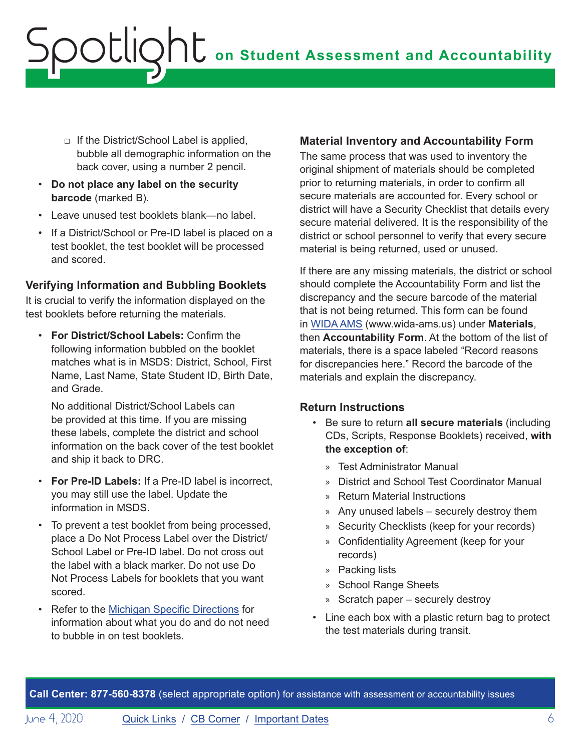- $\Box$  If the District/School Label is applied, bubble all demographic information on the back cover, using a number 2 pencil.
- **Do not place any label on the security barcode** (marked B).
- Leave unused test booklets blank—no label.
- If a District/School or Pre-ID label is placed on a test booklet, the test booklet will be processed and scored.

#### **Verifying Information and Bubbling Booklets**

It is crucial to verify the information displayed on the test booklets before returning the materials.

• **For District/School Labels:** Confirm the following information bubbled on the booklet matches what is in MSDS: District, School, First Name, Last Name, State Student ID, Birth Date, and Grade.

No additional District/School Labels can be provided at this time. If you are missing these labels, complete the district and school information on the back cover of the test booklet and ship it back to DRC.

- **For Pre-ID Labels:** If a Pre-ID label is incorrect, you may still use the label. Update the information in MSDS.
- To prevent a test booklet from being processed, place a Do Not Process Label over the District/ School Label or Pre-ID label. Do not cross out the label with a black marker. Do not use Do Not Process Labels for booklets that you want scored.
- Refer to the [Michigan Specific Directions](https://wida.wisc.edu/sites/default/files/state-specific-directions/MI-State-Specific-Directions.pdf) for information about what you do and do not need to bubble in on test booklets.

#### **Material Inventory and Accountability Form**

The same process that was used to inventory the original shipment of materials should be completed prior to returning materials, in order to confirm all secure materials are accounted for. Every school or district will have a Security Checklist that details every secure material delivered. It is the responsibility of the district or school personnel to verify that every secure material is being returned, used or unused.

If there are any missing materials, the district or school should complete the Accountability Form and list the discrepancy and the secure barcode of the material that is not being returned. This form can be found in [WIDA AMS](https://www.wida-ams.us/) (www.wida-ams.us) under **Materials**, then **Accountability Form**. At the bottom of the list of materials, there is a space labeled "Record reasons for discrepancies here." Record the barcode of the materials and explain the discrepancy.

#### **Return Instructions**

- Be sure to return **all secure materials** (including CDs, Scripts, Response Booklets) received, **with the exception of**:
	- » Test Administrator Manual
	- » District and School Test Coordinator Manual
	- » Return Material Instructions
	- » Any unused labels securely destroy them
	- » Security Checklists (keep for your records)
	- » Confidentiality Agreement (keep for your records)
	- » Packing lists
	- » School Range Sheets
	- » Scratch paper securely destroy
- Line each box with a plastic return bag to protect the test materials during transit.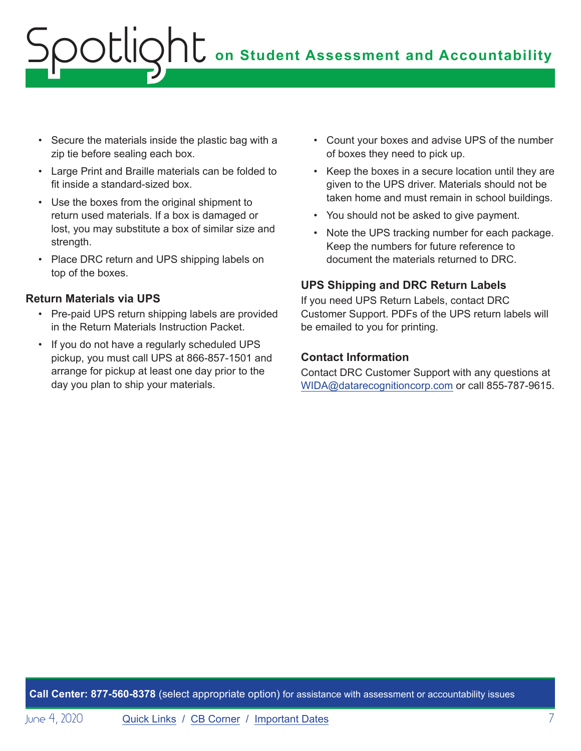- Secure the materials inside the plastic bag with a zip tie before sealing each box.
- Large Print and Braille materials can be folded to fit inside a standard-sized box.
- Use the boxes from the original shipment to return used materials. If a box is damaged or lost, you may substitute a box of similar size and strength.
- Place DRC return and UPS shipping labels on top of the boxes.

#### **Return Materials via UPS**

- Pre-paid UPS return shipping labels are provided in the Return Materials Instruction Packet.
- If you do not have a regularly scheduled UPS pickup, you must call UPS at 866-857-1501 and arrange for pickup at least one day prior to the day you plan to ship your materials.
- Count your boxes and advise UPS of the number of boxes they need to pick up.
- Keep the boxes in a secure location until they are given to the UPS driver. Materials should not be taken home and must remain in school buildings.
- You should not be asked to give payment.
- Note the UPS tracking number for each package. Keep the numbers for future reference to document the materials returned to DRC.

#### **UPS Shipping and DRC Return Labels**

If you need UPS Return Labels, contact DRC Customer Support. PDFs of the UPS return labels will be emailed to you for printing.

#### **Contact Information**

Contact DRC Customer Support with any questions at [WIDA@datarecognitioncorp.com](mailto:WIDA%40datarecognitioncorp.com?subject=) or call 855-787-9615.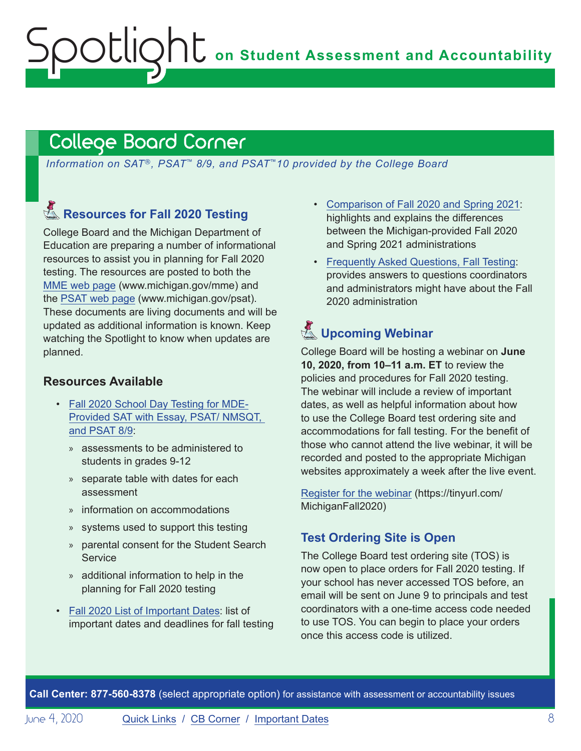### <span id="page-7-1"></span>College Board Corner

<span id="page-7-0"></span>potlic

*Information on SAT*®*, PSAT*™ *8/9, and PSAT*™*10 provided by the College Board*

### Reminders **Resources for Fall 2020 Testing**

College Board and the Michigan Department of Education are preparing a number of informational resources to assist you in planning for Fall 2020 testing. The resources are posted to both the [MME web page](www.michigan.gov/mme) (www.michigan.gov/mme) and the [PSAT web page](http://www.michigan.gov/psat) (www.michigan.gov/psat). These documents are living documents and will be updated as additional information is known. Keep watching the Spotlight to know when updates are planned.

#### **Resources Available**

- [Fall 2020 School Day Testing for MDE-](https://www.michigan.gov/documents/mde/Fall_2020_School_Day_Testing_for_MDE_Provided_Assessments_690609_7.pdf)[Provided SAT with Essay, PSAT/ NMSQT,](https://www.michigan.gov/documents/mde/Fall_2020_School_Day_Testing_for_MDE_Provided_Assessments_690609_7.pdf)  [and PSAT 8/9](https://www.michigan.gov/documents/mde/Fall_2020_School_Day_Testing_for_MDE_Provided_Assessments_690609_7.pdf):
	- » assessments to be administered to students in grades 9-12
	- » separate table with dates for each assessment
	- » information on accommodations
	- » systems used to support this testing
	- » parental consent for the Student Search **Service**
	- » additional information to help in the planning for Fall 2020 testing
- [Fall 2020 List of Important Dates:](https://www.michigan.gov/documents/mde/Fall_2020_List_of_Important_Dates_689777_7.pdf) list of important dates and deadlines for fall testing
- [Comparison of Fall 2020 and Spring 2021:](https://www.michigan.gov/documents/mde/Michigan_Fall_vs_Spring_ADA_691944_7.pdf) highlights and explains the differences between the Michigan-provided Fall 2020 and Spring 2021 administrations
- [Frequently Asked Questions, Fall Testing](https://nam04.safelinks.protection.outlook.com/?url=https%3A%2F%2Fwww.michigan.gov%2Fdocuments%2Fmde%2FMichigan_FAQs_ADA_691945_7.pdf&data=02%7C01%7Csthaler%40collegeboard.org%7Ce133257eede44e82cd5e08d80261521b%7C7530bdedfd6e4f58b5d2ea681eb07663%7C0%7C1%7C637261964308033767&sdata=DupAclI5ZwRkaelQMf5Q6DrAsM6Y9qjfhoOd6F%2FegKg%3D&reserved=0): provides answers to questions coordinators and administrators might have about the Fall 2020 administration

### Reminders **Upcoming Webinar**

College Board will be hosting a webinar on **June 10, 2020, from 10–11 a.m. ET** to review the policies and procedures for Fall 2020 testing. The webinar will include a review of important dates, as well as helpful information about how to use the College Board test ordering site and accommodations for fall testing. For the benefit of those who cannot attend the live webinar, it will be recorded and posted to the appropriate Michigan websites approximately a week after the live event.

[Register for the webinar](https://tinyurl.com/MichiganFall2020) (https://tinyurl.com/ MichiganFall2020)

#### **Test Ordering Site is Open**

The College Board test ordering site (TOS) is now open to place orders for Fall 2020 testing. If your school has never accessed TOS before, an email will be sent on June 9 to principals and test coordinators with a one-time access code needed to use TOS. You can begin to place your orders once this access code is utilized.